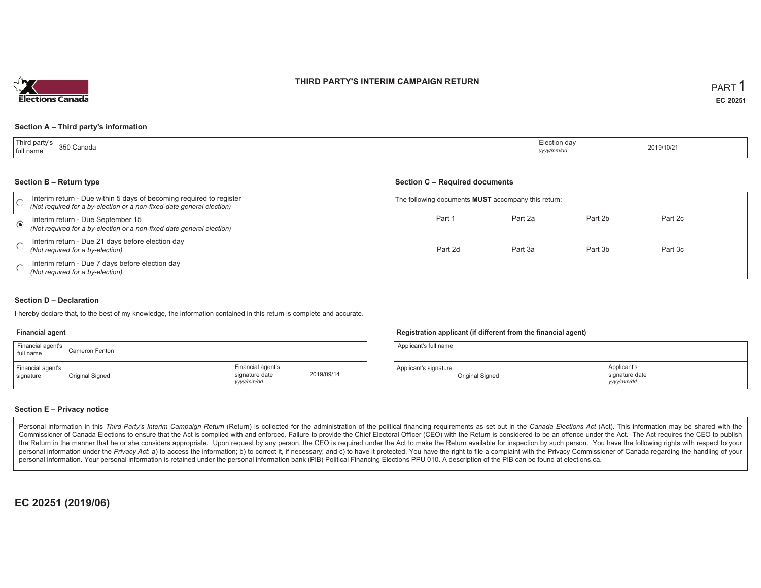## **THIRD PARTY'S INTERIM CAMPAIGN RETURN**



#### **Section A – Third party's information**

| Third party's<br>350 Canada<br>full name<br>. | ∟lection dav<br>.<br>yyyy/mm/dd | 2019/10/21 |
|-----------------------------------------------|---------------------------------|------------|
|-----------------------------------------------|---------------------------------|------------|

#### **Section B – Return type**

| Interim return - Due within 5 days of becoming required to register<br>(Not required for a by-election or a non-fixed-date general election) | The following documents <b>MUST</b> accompany this return: |         |         |  |  |  |
|----------------------------------------------------------------------------------------------------------------------------------------------|------------------------------------------------------------|---------|---------|--|--|--|
| Interim return - Due September 15<br>(Not required for a by-election or a non-fixed-date general election)                                   | Part 1                                                     | Part 2a | Part 2b |  |  |  |
| Interim return - Due 21 days before election day<br>(Not required for a by-election)                                                         | Part 2d                                                    | Part 3a | Part 3b |  |  |  |
| Interim return - Due 7 days before election day<br>(Not required for a by-election)                                                          |                                                            |         |         |  |  |  |

#### **Section C – Required documents**

| The following documents <b>MUST</b> accompany this return: |         |         |         |  |  |  |  |  |  |
|------------------------------------------------------------|---------|---------|---------|--|--|--|--|--|--|
| Part 1                                                     | Part 2a | Part 2b | Part 2c |  |  |  |  |  |  |
| Part 2d                                                    | Part 3a | Part 3b | Part 3c |  |  |  |  |  |  |

## **Section D – Declaration**

I hereby declare that, to the best of my knowledge, the information contained in this return is complete and accurate.

#### **Financial agent**

| Financial agent's<br>full name | Cameron Fenton  |                                                   |            |
|--------------------------------|-----------------|---------------------------------------------------|------------|
| Financial agent's<br>signature | Original Signed | Financial agent's<br>signature date<br>yyyy/mm/dd | 2019/09/14 |

#### **Registration applicant (if different from the financial agent)**

| Applicant's full name |                 |                                            |  |
|-----------------------|-----------------|--------------------------------------------|--|
| Applicant's signature | Original Signed | Applicant's<br>signature date<br>vyy/mm/dd |  |

### **Section E – Privacy notice**

Personal information in this Third Party's Interim Campaign Return (Return) is collected for the administration of the political financing requirements as set out in the Canada Elections Act (Act). This information may be Commissioner of Canada Elections to ensure that the Act is complied with and enforced. Failure to provide the Chief Electoral Officer (CEO) with the Return is considered to be an offence under the Act. The Act requires the the Return in the manner that he or she considers appropriate. Upon request by any person, the CEO is required under the Act to make the Return available for inspection by such person. You have the following rights with re personal information under the Privacy Act: a) to access the information; b) to correct it, if necessary; and c) to have it protected. You have the right to file a complaint with the Privacy Commissioner of Canada regardin personal information. Your personal information is retained under the personal information bank (PIB) Political Financing Elections PPU 010. A description of the PIB can be found at elections.ca.

**EC 20251 (2019/06)**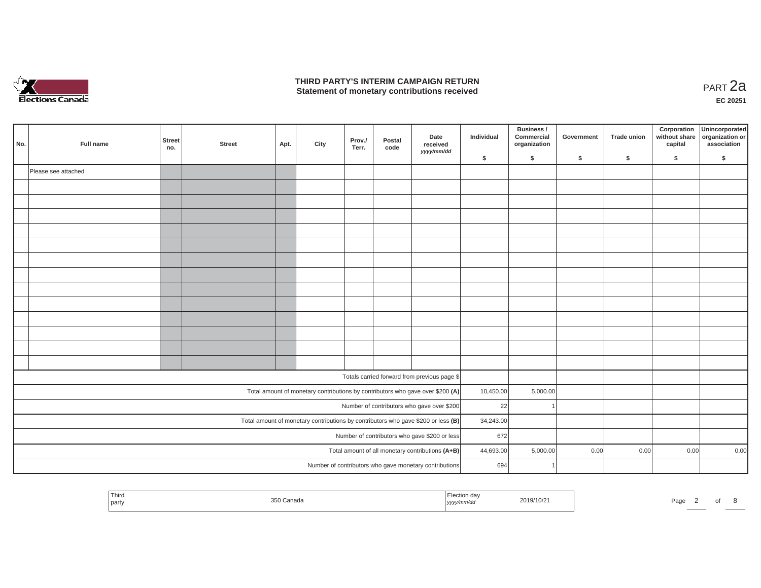

## **THIRD PARTY'S INTERIM CAMPAIGN RETURN**  THIRD PARTY'S INTERIM CAMPAIGN RETURN<br>Statement of monetary contributions received

**EC 20251**

 $\sim$ 

| No.                                              | Full name           | <b>Street</b><br>no. | <b>Street</b> | Apt. | City | Prov./<br>Terr. | Postal<br>code | Date<br>received<br>yyyy/mm/dd                                                      | Individual | Business /<br>Commercial<br>organization | Government | <b>Trade union</b> | Corporation<br>without share<br>capital | Unincorporated<br>organization or<br>association |
|--------------------------------------------------|---------------------|----------------------|---------------|------|------|-----------------|----------------|-------------------------------------------------------------------------------------|------------|------------------------------------------|------------|--------------------|-----------------------------------------|--------------------------------------------------|
|                                                  |                     |                      |               |      |      |                 |                |                                                                                     | \$         | \$                                       | \$         | \$                 | \$                                      | \$                                               |
|                                                  | Please see attached |                      |               |      |      |                 |                |                                                                                     |            |                                          |            |                    |                                         |                                                  |
|                                                  |                     |                      |               |      |      |                 |                |                                                                                     |            |                                          |            |                    |                                         |                                                  |
|                                                  |                     |                      |               |      |      |                 |                |                                                                                     |            |                                          |            |                    |                                         |                                                  |
|                                                  |                     |                      |               |      |      |                 |                |                                                                                     |            |                                          |            |                    |                                         |                                                  |
|                                                  |                     |                      |               |      |      |                 |                |                                                                                     |            |                                          |            |                    |                                         |                                                  |
|                                                  |                     |                      |               |      |      |                 |                |                                                                                     |            |                                          |            |                    |                                         |                                                  |
|                                                  |                     |                      |               |      |      |                 |                |                                                                                     |            |                                          |            |                    |                                         |                                                  |
|                                                  |                     |                      |               |      |      |                 |                |                                                                                     |            |                                          |            |                    |                                         |                                                  |
|                                                  |                     |                      |               |      |      |                 |                |                                                                                     |            |                                          |            |                    |                                         |                                                  |
|                                                  |                     |                      |               |      |      |                 |                |                                                                                     |            |                                          |            |                    |                                         |                                                  |
|                                                  |                     |                      |               |      |      |                 |                |                                                                                     |            |                                          |            |                    |                                         |                                                  |
|                                                  |                     |                      |               |      |      |                 |                |                                                                                     |            |                                          |            |                    |                                         |                                                  |
|                                                  |                     |                      |               |      |      |                 |                |                                                                                     |            |                                          |            |                    |                                         |                                                  |
|                                                  |                     |                      |               |      |      |                 |                |                                                                                     |            |                                          |            |                    |                                         |                                                  |
|                                                  |                     |                      |               |      |      |                 |                | Totals carried forward from previous page \$                                        |            |                                          |            |                    |                                         |                                                  |
|                                                  |                     |                      |               |      |      |                 |                | Total amount of monetary contributions by contributors who gave over \$200 (A)      | 10,450.00  | 5,000.00                                 |            |                    |                                         |                                                  |
|                                                  |                     |                      |               |      |      |                 |                | Number of contributors who gave over \$200                                          | 22         |                                          |            |                    |                                         |                                                  |
|                                                  |                     |                      |               |      |      |                 |                | Total amount of monetary contributions by contributors who gave \$200 or less $(B)$ | 34,243.00  |                                          |            |                    |                                         |                                                  |
| Number of contributors who gave \$200 or less    |                     |                      |               |      |      |                 |                |                                                                                     | 672        |                                          |            |                    |                                         |                                                  |
| Total amount of all monetary contributions (A+B) |                     |                      |               |      |      |                 |                |                                                                                     | 44,693.00  | 5,000.00                                 | 0.00       | 0.00               | 0.00                                    | 0.00                                             |
|                                                  |                     |                      |               |      |      |                 |                | Number of contributors who gave monetary contributions                              | 694        |                                          |            |                    |                                         |                                                  |
|                                                  |                     |                      |               |      |      |                 |                |                                                                                     |            |                                          |            |                    |                                         |                                                  |

| ' Third<br>2019/10/2<br>` Canada<br>l partv<br>'′mm∕au<br>$ $ <i>yyyy</i> | ∍aαe |  |  |  |
|---------------------------------------------------------------------------|------|--|--|--|
|---------------------------------------------------------------------------|------|--|--|--|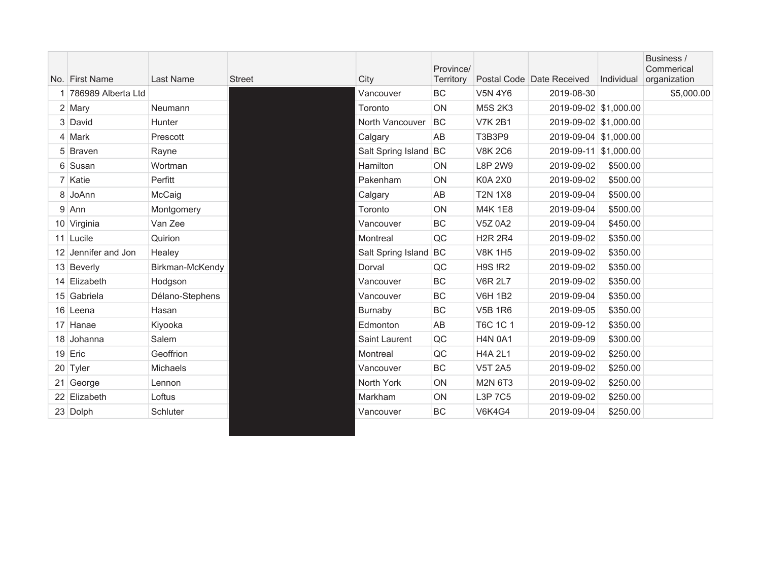|                      |                 |               |                       | Province/ |                |                           |            | Business /<br>Commerical |
|----------------------|-----------------|---------------|-----------------------|-----------|----------------|---------------------------|------------|--------------------------|
| No. First Name       | Last Name       | <b>Street</b> | City                  | Territory |                | Postal Code Date Received | Individual | organization             |
| 1 786989 Alberta Ltd |                 |               | Vancouver             | BC        | <b>V5N 4Y6</b> | 2019-08-30                |            | \$5,000.00               |
| 2 Mary               | Neumann         |               | Toronto               | ON        | <b>M5S 2K3</b> | 2019-09-02 \$1,000.00     |            |                          |
| 3 David              | <b>Hunter</b>   |               | North Vancouver       | BC        | <b>V7K 2B1</b> | 2019-09-02 \$1,000.00     |            |                          |
| 4 Mark               | Prescott        |               | Calgary               | AB        | T3B3P9         | 2019-09-04 \$1,000.00     |            |                          |
| 5 Braven             | Rayne           |               | Salt Spring Island BC |           | <b>V8K 2C6</b> | 2019-09-11 \$1,000.00     |            |                          |
| 6 Susan              | Wortman         |               | Hamilton              | ON        | <b>L8P 2W9</b> | 2019-09-02                | \$500.00   |                          |
| 7 Katie              | Perfitt         |               | Pakenham              | ON        | <b>K0A 2X0</b> | 2019-09-02                | \$500.00   |                          |
| 8 JoAnn              | McCaig          |               | Calgary               | AB        | <b>T2N 1X8</b> | 2019-09-04                | \$500.00   |                          |
| $9$ Ann              | Montgomery      |               | Toronto               | ON        | M4K 1E8        | 2019-09-04                | \$500.00   |                          |
| 10 Virginia          | Van Zee         |               | Vancouver             | BC        | <b>V5Z 0A2</b> | 2019-09-04                | \$450.00   |                          |
| 11 Lucile            | Quirion         |               | Montreal              | QC        | <b>H2R 2R4</b> | 2019-09-02                | \$350.00   |                          |
| 12 Jennifer and Jon  | Healey          |               | Salt Spring Island BC |           | <b>V8K 1H5</b> | 2019-09-02                | \$350.00   |                          |
| 13 Beverly           | Birkman-McKendy |               | Dorval                | QC        | <b>H9S !R2</b> | 2019-09-02                | \$350.00   |                          |
| 14 Elizabeth         | Hodgson         |               | Vancouver             | <b>BC</b> | <b>V6R 2L7</b> | 2019-09-02                | \$350.00   |                          |
| 15 Gabriela          | Délano-Stephens |               | Vancouver             | BC        | <b>V6H 1B2</b> | 2019-09-04                | \$350.00   |                          |
| 16 Leena             | Hasan           |               | Burnaby               | BC        | <b>V5B 1R6</b> | 2019-09-05                | \$350.00   |                          |
| 17 Hanae             | Kiyooka         |               | Edmonton              | AB        | T6C 1C 1       | 2019-09-12                | \$350.00   |                          |
| 18 Johanna           | Salem           |               | Saint Laurent         | QC        | <b>H4N 0A1</b> | 2019-09-09                | \$300.00   |                          |
| 19 Eric              | Geoffrion       |               | Montreal              | QC        | <b>H4A 2L1</b> | 2019-09-02                | \$250.00   |                          |
| 20 Tyler             | <b>Michaels</b> |               | Vancouver             | BC        | <b>V5T 2A5</b> | 2019-09-02                | \$250.00   |                          |
| 21 George            | Lennon          |               | North York            | ON        | M2N 6T3        | 2019-09-02                | \$250.00   |                          |
| 22 Elizabeth         | Loftus          |               | Markham               | ON        | L3P 7C5        | 2019-09-02                | \$250.00   |                          |
| 23 Dolph             | Schluter        |               | Vancouver             | BC        | <b>V6K4G4</b>  | 2019-09-04                | \$250.00   |                          |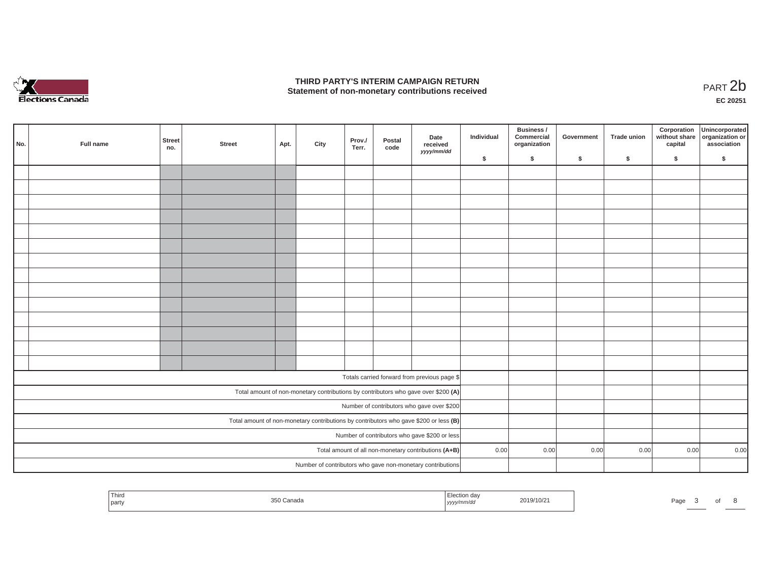

## **THIRD PARTY'S INTERIM CAMPAIGN RETURN**  THIRD PARTY'S INTERIM CAMPAIGN RETURN<br>Statement of non-monetary contributions received<br>**PART 2**b

**EC 20251**

| No.                                                                                   | Full name | <b>Street</b><br>no. | <b>Street</b> | Apt. | City | Prov./<br>Terr. | Postal<br>code | Date<br>received<br>yyyy/mm/dd                                                     | Individual | Business /<br>Commercial<br>organization | Government | Trade union | Corporation<br>capital | Unincorporated<br>without share organization or<br>association |
|---------------------------------------------------------------------------------------|-----------|----------------------|---------------|------|------|-----------------|----------------|------------------------------------------------------------------------------------|------------|------------------------------------------|------------|-------------|------------------------|----------------------------------------------------------------|
|                                                                                       |           |                      |               |      |      |                 |                |                                                                                    | \$         | \$                                       | \$         | \$          | \$                     | \$                                                             |
|                                                                                       |           |                      |               |      |      |                 |                |                                                                                    |            |                                          |            |             |                        |                                                                |
|                                                                                       |           |                      |               |      |      |                 |                |                                                                                    |            |                                          |            |             |                        |                                                                |
|                                                                                       |           |                      |               |      |      |                 |                |                                                                                    |            |                                          |            |             |                        |                                                                |
|                                                                                       |           |                      |               |      |      |                 |                |                                                                                    |            |                                          |            |             |                        |                                                                |
|                                                                                       |           |                      |               |      |      |                 |                |                                                                                    |            |                                          |            |             |                        |                                                                |
|                                                                                       |           |                      |               |      |      |                 |                |                                                                                    |            |                                          |            |             |                        |                                                                |
|                                                                                       |           |                      |               |      |      |                 |                |                                                                                    |            |                                          |            |             |                        |                                                                |
|                                                                                       |           |                      |               |      |      |                 |                |                                                                                    |            |                                          |            |             |                        |                                                                |
|                                                                                       |           |                      |               |      |      |                 |                |                                                                                    |            |                                          |            |             |                        |                                                                |
|                                                                                       |           |                      |               |      |      |                 |                |                                                                                    |            |                                          |            |             |                        |                                                                |
|                                                                                       |           |                      |               |      |      |                 |                |                                                                                    |            |                                          |            |             |                        |                                                                |
|                                                                                       |           |                      |               |      |      |                 |                |                                                                                    |            |                                          |            |             |                        |                                                                |
|                                                                                       |           |                      |               |      |      |                 |                |                                                                                    |            |                                          |            |             |                        |                                                                |
|                                                                                       |           |                      |               |      |      |                 |                |                                                                                    |            |                                          |            |             |                        |                                                                |
|                                                                                       |           |                      |               |      |      |                 |                |                                                                                    |            |                                          |            |             |                        |                                                                |
|                                                                                       |           |                      |               |      |      |                 |                | Totals carried forward from previous page \$                                       |            |                                          |            |             |                        |                                                                |
|                                                                                       |           |                      |               |      |      |                 |                | Total amount of non-monetary contributions by contributors who gave over \$200 (A) |            |                                          |            |             |                        |                                                                |
|                                                                                       |           |                      |               |      |      |                 |                | Number of contributors who gave over \$200                                         |            |                                          |            |             |                        |                                                                |
| Total amount of non-monetary contributions by contributors who gave \$200 or less (B) |           |                      |               |      |      |                 |                |                                                                                    |            |                                          |            |             |                        |                                                                |
|                                                                                       |           |                      |               |      |      |                 |                | Number of contributors who gave \$200 or less                                      |            |                                          |            |             |                        |                                                                |
|                                                                                       |           |                      |               |      |      |                 |                | Total amount of all non-monetary contributions (A+B)                               | 0.00       | 0.00                                     | 0.00       | 0.00        | 0.00                   | 0.00                                                           |
|                                                                                       |           |                      |               |      |      |                 |                | Number of contributors who gave non-monetary contributions                         |            |                                          |            |             |                        |                                                                |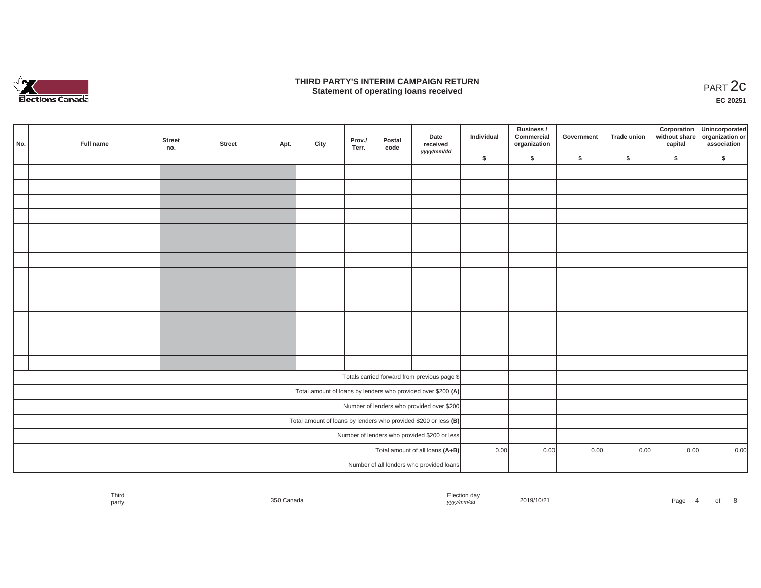

## **THIRD PARTY'S INTERIM CAMPAIGN RETURN**  RD PARTY'S INTERIM CAMPAIGN RETURN<br>Statement of operating loans received **PART 2c**

**EC 20251**

| No.                                          | Full name | <b>Street</b><br>no. | <b>Street</b> | Apt. | City | Prov./<br>Terr. | Postal<br>code | Date<br>received<br>yyyy/mm/dd                                    | Individual | Business /<br>Commercial<br>organization | Government | Trade union | Corporation | Unincorporated<br>without share<br>contract organization or<br>capital association |
|----------------------------------------------|-----------|----------------------|---------------|------|------|-----------------|----------------|-------------------------------------------------------------------|------------|------------------------------------------|------------|-------------|-------------|------------------------------------------------------------------------------------|
|                                              |           |                      |               |      |      |                 |                |                                                                   | \$         | \$                                       | \$         | \$          | \$          | \$                                                                                 |
|                                              |           |                      |               |      |      |                 |                |                                                                   |            |                                          |            |             |             |                                                                                    |
|                                              |           |                      |               |      |      |                 |                |                                                                   |            |                                          |            |             |             |                                                                                    |
|                                              |           |                      |               |      |      |                 |                |                                                                   |            |                                          |            |             |             |                                                                                    |
|                                              |           |                      |               |      |      |                 |                |                                                                   |            |                                          |            |             |             |                                                                                    |
|                                              |           |                      |               |      |      |                 |                |                                                                   |            |                                          |            |             |             |                                                                                    |
|                                              |           |                      |               |      |      |                 |                |                                                                   |            |                                          |            |             |             |                                                                                    |
|                                              |           |                      |               |      |      |                 |                |                                                                   |            |                                          |            |             |             |                                                                                    |
|                                              |           |                      |               |      |      |                 |                |                                                                   |            |                                          |            |             |             |                                                                                    |
|                                              |           |                      |               |      |      |                 |                |                                                                   |            |                                          |            |             |             |                                                                                    |
|                                              |           |                      |               |      |      |                 |                |                                                                   |            |                                          |            |             |             |                                                                                    |
|                                              |           |                      |               |      |      |                 |                |                                                                   |            |                                          |            |             |             |                                                                                    |
|                                              |           |                      |               |      |      |                 |                |                                                                   |            |                                          |            |             |             |                                                                                    |
|                                              |           |                      |               |      |      |                 |                |                                                                   |            |                                          |            |             |             |                                                                                    |
|                                              |           |                      |               |      |      |                 |                |                                                                   |            |                                          |            |             |             |                                                                                    |
|                                              |           |                      |               |      |      |                 |                | Totals carried forward from previous page \$                      |            |                                          |            |             |             |                                                                                    |
|                                              |           |                      |               |      |      |                 |                | Total amount of loans by lenders who provided over \$200 (A)      |            |                                          |            |             |             |                                                                                    |
|                                              |           |                      |               |      |      |                 |                | Number of lenders who provided over \$200                         |            |                                          |            |             |             |                                                                                    |
|                                              |           |                      |               |      |      |                 |                | Total amount of loans by lenders who provided \$200 or less $(B)$ |            |                                          |            |             |             |                                                                                    |
| Number of lenders who provided \$200 or less |           |                      |               |      |      |                 |                |                                                                   |            |                                          |            |             |             |                                                                                    |
|                                              |           |                      |               |      |      |                 |                | Total amount of all loans (A+B)                                   | 0.00       | 0.00                                     | 0.00       | 0.00        | 0.00        | 0.00                                                                               |
|                                              |           |                      |               |      |      |                 |                | Number of all lenders who provided loans                          |            |                                          |            |             |             |                                                                                    |

| Third<br>part | vanauc | ,,,,,<br>,,,,, | 2019/10/21 | Page |  |  |
|---------------|--------|----------------|------------|------|--|--|
|               |        |                |            |      |  |  |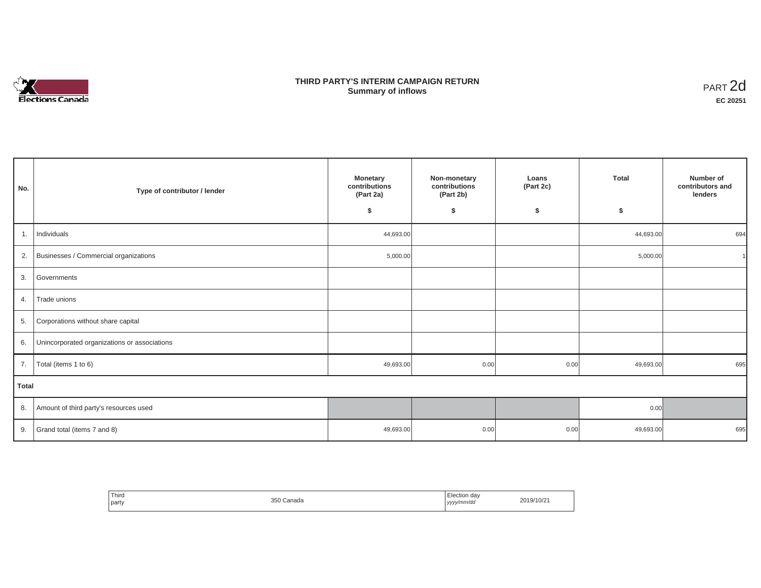# Elections Canada

# **THIRD PARTY'S INTERIM CAMPAIGN RETURN Summary of inflows**

| PART <sub>2d</sub> |
|--------------------|
| EC 20251           |

| No.   | Type of contributor / lender                 | Monetary<br>contributions<br>(Part 2a) | Non-monetary<br>contributions<br>(Part 2b) | Loans<br>(Part 2c) | <b>Total</b> | Number of<br>contributors and<br>lenders |  |
|-------|----------------------------------------------|----------------------------------------|--------------------------------------------|--------------------|--------------|------------------------------------------|--|
|       |                                              | \$                                     | \$                                         | \$                 | \$           |                                          |  |
| 1.    | Individuals                                  | 44,693.00                              |                                            |                    | 44,693.00    | 694                                      |  |
| 2.    | Businesses / Commercial organizations        | 5,000.00                               |                                            |                    | 5,000.00     |                                          |  |
| 3.    | Governments                                  |                                        |                                            |                    |              |                                          |  |
| 4.    | Trade unions                                 |                                        |                                            |                    |              |                                          |  |
| 5.    | Corporations without share capital           |                                        |                                            |                    |              |                                          |  |
| 6.    | Unincorporated organizations or associations |                                        |                                            |                    |              |                                          |  |
| 7.    | Total (items 1 to 6)                         | 49,693.00                              | 0.00                                       | 0.00               | 49,693.00    | 695                                      |  |
| Total |                                              |                                        |                                            |                    |              |                                          |  |
| 8.    | Amount of third party's resources used       |                                        |                                            |                    | 0.00         |                                          |  |
| 9.    | Grand total (items 7 and 8)                  | 49,693.00                              | 0.00                                       | 0.00               | 49,693.00    | 695                                      |  |

| Third<br>party | 350 Canada | Election dav<br>.<br>l yyyy/mm/dd | 2019/10/21 |
|----------------|------------|-----------------------------------|------------|
|----------------|------------|-----------------------------------|------------|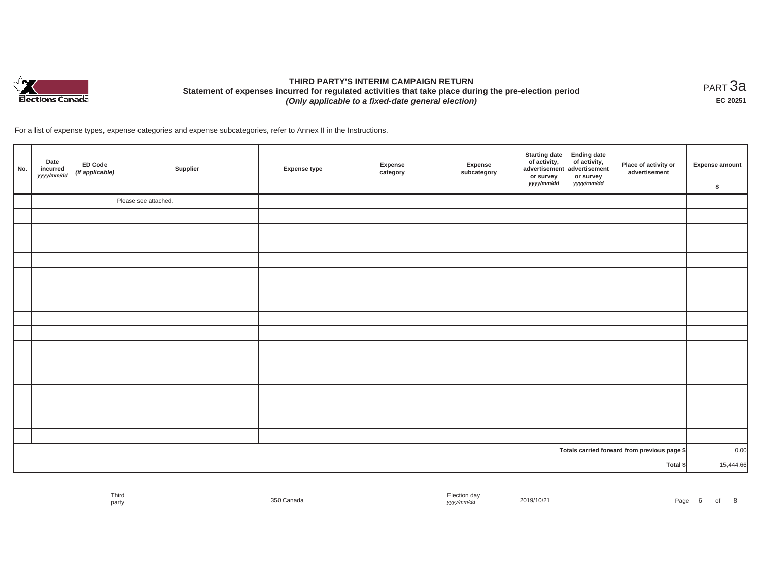

# **THIRD PARTY'S INTERIM CAMPAIGN RETURN Statement of expenses incurred for regulated activities that take place during the pre-election period**  *(Only applicable to a fixed-date general election)*

<code>PART $3$ a</code> **EC 20251**

For a list of expense types, expense categories and expense subcategories, refer to Annex II in the Instructions.

| No. | Date<br>incurred<br>yyyy/mm/dd | ED Code<br>(if applicable) | Supplier             | <b>Expense type</b> | Expense<br>category | Expense<br>subcategory | <b>Starting date</b><br>of activity,<br>advertisement<br>or survey<br>yyyy/mm/dd | <b>Ending date</b><br>$\frac{1}{2}$ of activity,<br>or survey<br>yyyy/mm/dd | Place of activity or<br>advertisement        | <b>Expense amount</b><br>\$ |
|-----|--------------------------------|----------------------------|----------------------|---------------------|---------------------|------------------------|----------------------------------------------------------------------------------|-----------------------------------------------------------------------------|----------------------------------------------|-----------------------------|
|     |                                |                            | Please see attached. |                     |                     |                        |                                                                                  |                                                                             |                                              |                             |
|     |                                |                            |                      |                     |                     |                        |                                                                                  |                                                                             |                                              |                             |
|     |                                |                            |                      |                     |                     |                        |                                                                                  |                                                                             |                                              |                             |
|     |                                |                            |                      |                     |                     |                        |                                                                                  |                                                                             |                                              |                             |
|     |                                |                            |                      |                     |                     |                        |                                                                                  |                                                                             |                                              |                             |
|     |                                |                            |                      |                     |                     |                        |                                                                                  |                                                                             |                                              |                             |
|     |                                |                            |                      |                     |                     |                        |                                                                                  |                                                                             |                                              |                             |
|     |                                |                            |                      |                     |                     |                        |                                                                                  |                                                                             |                                              |                             |
|     |                                |                            |                      |                     |                     |                        |                                                                                  |                                                                             |                                              |                             |
|     |                                |                            |                      |                     |                     |                        |                                                                                  |                                                                             |                                              |                             |
|     |                                |                            |                      |                     |                     |                        |                                                                                  |                                                                             |                                              |                             |
|     |                                |                            |                      |                     |                     |                        |                                                                                  |                                                                             |                                              |                             |
|     |                                |                            |                      |                     |                     |                        |                                                                                  |                                                                             |                                              |                             |
|     |                                |                            |                      |                     |                     |                        |                                                                                  |                                                                             |                                              |                             |
|     |                                |                            |                      |                     |                     |                        |                                                                                  |                                                                             |                                              |                             |
|     |                                |                            |                      |                     |                     |                        |                                                                                  |                                                                             |                                              |                             |
|     |                                |                            |                      |                     |                     |                        |                                                                                  |                                                                             |                                              |                             |
|     |                                |                            |                      |                     |                     |                        |                                                                                  |                                                                             | Totals carried forward from previous page \$ | 0.00                        |
|     |                                |                            |                      |                     |                     |                        |                                                                                  |                                                                             | Total \$                                     | 15,444.66                   |

| Third<br>∃lection da∖<br>2019/10/21<br>350 Canada<br>Paɑe<br>yyyy/mm/dd<br>  party | UI |  |  |  |
|------------------------------------------------------------------------------------|----|--|--|--|
|------------------------------------------------------------------------------------|----|--|--|--|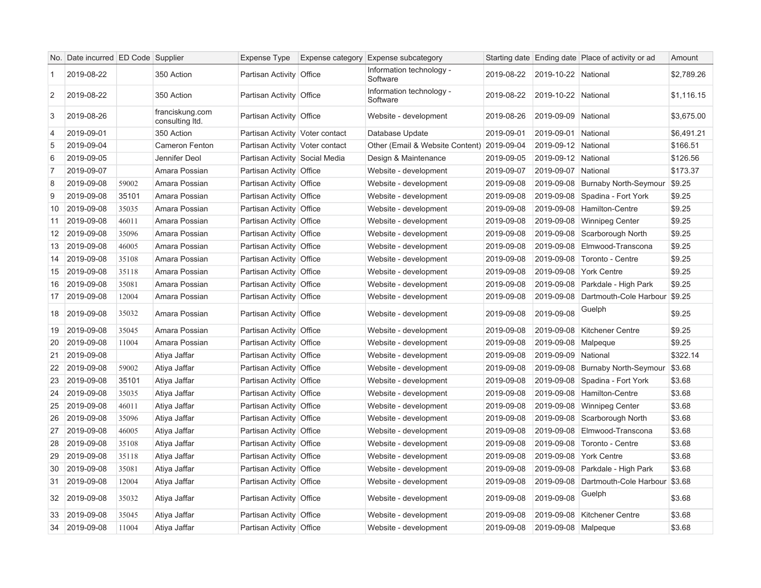|                | No. Date incurred ED Code Supplier |       |                                    | Expense Type                    | Expense category Expense subcategory       |            |                     | Starting date Ending date Place of activity or ad | Amount     |
|----------------|------------------------------------|-------|------------------------------------|---------------------------------|--------------------------------------------|------------|---------------------|---------------------------------------------------|------------|
| $\mathbf{1}$   | 2019-08-22                         |       | 350 Action                         | Partisan Activity Office        | Information technology -<br>Software       | 2019-08-22 | 2019-10-22 National |                                                   | \$2,789.26 |
| 2              | 2019-08-22                         |       | 350 Action                         | Partisan Activity Office        | Information technology -<br>Software       | 2019-08-22 | 2019-10-22 National |                                                   | \$1,116.15 |
| 3              | 2019-08-26                         |       | franciskung.com<br>consulting ltd. | Partisan Activity Office        | Website - development                      | 2019-08-26 | 2019-09-09 National |                                                   | \$3,675.00 |
| $\overline{4}$ | 2019-09-01                         |       | 350 Action                         | Partisan Activity Voter contact | Database Update                            | 2019-09-01 | 2019-09-01 National |                                                   | \$6,491.21 |
| 5              | 2019-09-04                         |       | Cameron Fenton                     | Partisan Activity Voter contact | Other (Email & Website Content) 2019-09-04 |            | 2019-09-12 National |                                                   | \$166.51   |
| 6              | 2019-09-05                         |       | Jennifer Deol                      | Partisan Activity Social Media  | Design & Maintenance                       | 2019-09-05 | 2019-09-12 National |                                                   | \$126.56   |
| $\overline{7}$ | 2019-09-07                         |       | Amara Possian                      | Partisan Activity Office        | Website - development                      | 2019-09-07 | 2019-09-07 National |                                                   | \$173.37   |
| 8              | 2019-09-08                         | 59002 | Amara Possian                      | Partisan Activity Office        | Website - development                      | 2019-09-08 |                     | 2019-09-08 Burnaby North-Seymour                  | \$9.25     |
| 9              | 2019-09-08                         | 35101 | Amara Possian                      | Partisan Activity Office        | Website - development                      | 2019-09-08 |                     | 2019-09-08 Spadina - Fort York                    | \$9.25     |
| 10             | 2019-09-08                         | 35035 | Amara Possian                      | Partisan Activity Office        | Website - development                      | 2019-09-08 |                     | 2019-09-08   Hamilton-Centre                      | \$9.25     |
| 11             | 2019-09-08                         | 46011 | Amara Possian                      | Partisan Activity Office        | Website - development                      | 2019-09-08 |                     | 2019-09-08 Winnipeg Center                        | \$9.25     |
| 12             | 2019-09-08                         | 35096 | Amara Possian                      | Partisan Activity Office        | Website - development                      | 2019-09-08 |                     | 2019-09-08 Scarborough North                      | \$9.25     |
| 13             | 2019-09-08                         | 46005 | Amara Possian                      | Partisan Activity Office        | Website - development                      | 2019-09-08 |                     | 2019-09-08 Elmwood-Transcona                      | \$9.25     |
| 14             | 2019-09-08                         | 35108 | Amara Possian                      | Partisan Activity Office        | Website - development                      | 2019-09-08 |                     | 2019-09-08   Toronto - Centre                     | \$9.25     |
| 15             | 2019-09-08                         | 35118 | Amara Possian                      | Partisan Activity Office        | Website - development                      | 2019-09-08 |                     | 2019-09-08 York Centre                            | \$9.25     |
| 16             | 2019-09-08                         | 35081 | Amara Possian                      | Partisan Activity Office        | Website - development                      | 2019-09-08 |                     | 2019-09-08 Parkdale - High Park                   | \$9.25     |
| 17             | 2019-09-08                         | 12004 | Amara Possian                      | Partisan Activity Office        | Website - development                      | 2019-09-08 |                     | 2019-09-08 Dartmouth-Cole Harbour \$9.25          |            |
| 18             | 2019-09-08                         | 35032 | Amara Possian                      | Partisan Activity Office        | Website - development                      | 2019-09-08 | 2019-09-08          | Guelph                                            | \$9.25     |
| 19             | 2019-09-08                         | 35045 | Amara Possian                      | Partisan Activity Office        | Website - development                      | 2019-09-08 |                     | 2019-09-08   Kitchener Centre                     | \$9.25     |
| 20             | 2019-09-08                         | 11004 | Amara Possian                      | Partisan Activity Office        | Website - development                      | 2019-09-08 | 2019-09-08 Malpeque |                                                   | \$9.25     |
| 21             | 2019-09-08                         |       | Atiya Jaffar                       | Partisan Activity Office        | Website - development                      | 2019-09-08 | 2019-09-09 National |                                                   | \$322.14   |
| 22             | 2019-09-08                         | 59002 | Atiya Jaffar                       | Partisan Activity Office        | Website - development                      | 2019-09-08 |                     | 2019-09-08 Burnaby North-Seymour                  | \$3.68     |
| 23             | 2019-09-08                         | 35101 | Atiya Jaffar                       | Partisan Activity Office        | Website - development                      | 2019-09-08 |                     | 2019-09-08 Spadina - Fort York                    | \$3.68     |
| 24             | 2019-09-08                         | 35035 | Atiya Jaffar                       | Partisan Activity Office        | Website - development                      | 2019-09-08 |                     | 2019-09-08 Hamilton-Centre                        | \$3.68     |
| 25             | 2019-09-08                         | 46011 | Atiya Jaffar                       | Partisan Activity Office        | Website - development                      | 2019-09-08 |                     | 2019-09-08 Winnipeg Center                        | \$3.68     |
| 26             | 2019-09-08                         | 35096 | Atiya Jaffar                       | Partisan Activity Office        | Website - development                      | 2019-09-08 |                     | 2019-09-08 Scarborough North                      | \$3.68     |
| 27             | 2019-09-08                         | 46005 | Atiya Jaffar                       | Partisan Activity Office        | Website - development                      | 2019-09-08 |                     | 2019-09-08 Elmwood-Transcona                      | \$3.68     |
| 28             | 2019-09-08                         | 35108 | Atiya Jaffar                       | Partisan Activity Office        | Website - development                      | 2019-09-08 |                     | 2019-09-08   Toronto - Centre                     | \$3.68     |
| 29             | 2019-09-08                         | 35118 | Atiya Jaffar                       | Partisan Activity Office        | Website - development                      | 2019-09-08 |                     | 2019-09-08 York Centre                            | \$3.68     |
| 30             | 2019-09-08                         | 35081 | Atiya Jaffar                       | Partisan Activity Office        | Website - development                      | 2019-09-08 |                     | 2019-09-08 Parkdale - High Park                   | \$3.68     |
| 31             | 2019-09-08                         | 12004 | Atiya Jaffar                       | Partisan Activity Office        | Website - development                      | 2019-09-08 |                     | 2019-09-08 Dartmouth-Cole Harbour                 | \$3.68     |
| 32             | 2019-09-08                         | 35032 | Atiya Jaffar                       | Partisan Activity Office        | Website - development                      | 2019-09-08 | 2019-09-08          | Guelph                                            | \$3.68     |
| 33             | 2019-09-08                         | 35045 | Atiya Jaffar                       | Partisan Activity Office        | Website - development                      | 2019-09-08 |                     | 2019-09-08   Kitchener Centre                     | \$3.68     |
| 34             | 2019-09-08                         | 11004 | Atiya Jaffar                       | Partisan Activity Office        | Website - development                      | 2019-09-08 | 2019-09-08 Malpeque |                                                   | \$3.68     |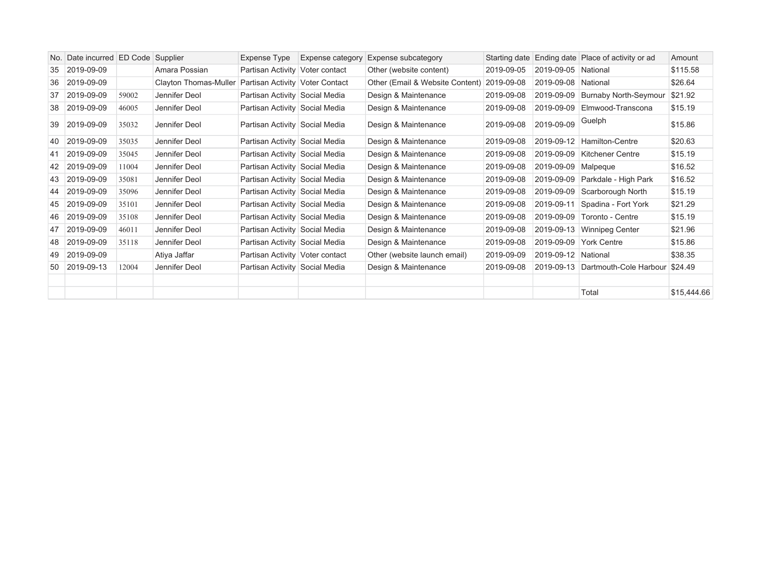|    | No. Date incurred ED Code Supplier |       |                       | Expense Type                    | <b>Expense category</b> | <b>Expense subcategory</b>      |            |                       | Starting date Ending date Place of activity or ad | Amount      |
|----|------------------------------------|-------|-----------------------|---------------------------------|-------------------------|---------------------------------|------------|-----------------------|---------------------------------------------------|-------------|
| 35 | 2019-09-09                         |       | Amara Possian         | Partisan Activity Voter contact |                         | Other (website content)         | 2019-09-05 | 2019-09-05 National   |                                                   | \$115.58    |
| 36 | 2019-09-09                         |       | Clayton Thomas-Muller | Partisan Activity Voter Contact |                         | Other (Email & Website Content) | 2019-09-08 | 2019-09-08 National   |                                                   | \$26.64     |
| 37 | 2019-09-09                         | 59002 | Jennifer Deol         | Partisan Activity Social Media  |                         | Design & Maintenance            | 2019-09-08 |                       | 2019-09-09 Burnaby North-Seymour                  | \$21.92     |
| 38 | 2019-09-09                         | 46005 | Jennifer Deol         | Partisan Activity Social Media  |                         | Design & Maintenance            | 2019-09-08 | 2019-09-09            | Elmwood-Transcona                                 | \$15.19     |
| 39 | 2019-09-09                         | 35032 | Jennifer Deol         | Partisan Activity Social Media  |                         | Design & Maintenance            | 2019-09-08 | 2019-09-09            | Guelph                                            | \$15.86     |
| 40 | 2019-09-09                         | 35035 | Jennifer Deol         | Partisan Activity Social Media  |                         | Design & Maintenance            | 2019-09-08 |                       | 2019-09-12 Hamilton-Centre                        | \$20.63     |
| 41 | 2019-09-09                         | 35045 | Jennifer Deol         | Partisan Activity Social Media  |                         | Design & Maintenance            | 2019-09-08 |                       | 2019-09-09   Kitchener Centre                     | \$15.19     |
|    | 42 2019-09-09                      | 11004 | Jennifer Deol         | Partisan Activity Social Media  |                         | Design & Maintenance            | 2019-09-08 | 2019-09-09   Malpeque |                                                   | \$16.52     |
| 43 | 2019-09-09                         | 35081 | Jennifer Deol         | Partisan Activity Social Media  |                         | Design & Maintenance            | 2019-09-08 | 2019-09-09            | Parkdale - High Park                              | \$16.52     |
|    | 44 2019-09-09                      | 35096 | Jennifer Deol         | Partisan Activity Social Media  |                         | Design & Maintenance            | 2019-09-08 | 2019-09-09            | Scarborough North                                 | \$15.19     |
|    | 45 2019-09-09                      | 35101 | Jennifer Deol         | Partisan Activity Social Media  |                         | Design & Maintenance            | 2019-09-08 | 2019-09-11            | Spadina - Fort York                               | \$21.29     |
| 46 | $ 2019-09-09 $                     | 35108 | Jennifer Deol         | Partisan Activity Social Media  |                         | Design & Maintenance            | 2019-09-08 | 2019-09-09            | Toronto - Centre                                  | \$15.19     |
| 47 | 2019-09-09                         | 46011 | Jennifer Deol         | Partisan Activity Social Media  |                         | Design & Maintenance            | 2019-09-08 |                       | 2019-09-13 Winnipeg Center                        | \$21.96     |
| 48 | 2019-09-09                         | 35118 | Jennifer Deol         | Partisan Activity Social Media  |                         | Design & Maintenance            | 2019-09-08 | 2019-09-09            | <b>York Centre</b>                                | \$15.86     |
| 49 | 2019-09-09                         |       | Atiya Jaffar          | Partisan Activity Voter contact |                         | Other (website launch email)    | 2019-09-09 | 2019-09-12 National   |                                                   | \$38.35     |
| 50 | 2019-09-13                         | 12004 | Jennifer Deol         | Partisan Activity Social Media  |                         | Design & Maintenance            | 2019-09-08 |                       | 2019-09-13 Dartmouth-Cole Harbour                 | \$24.49     |
|    |                                    |       |                       |                                 |                         |                                 |            |                       |                                                   |             |
|    |                                    |       |                       |                                 |                         |                                 |            |                       | Total                                             | \$15,444.66 |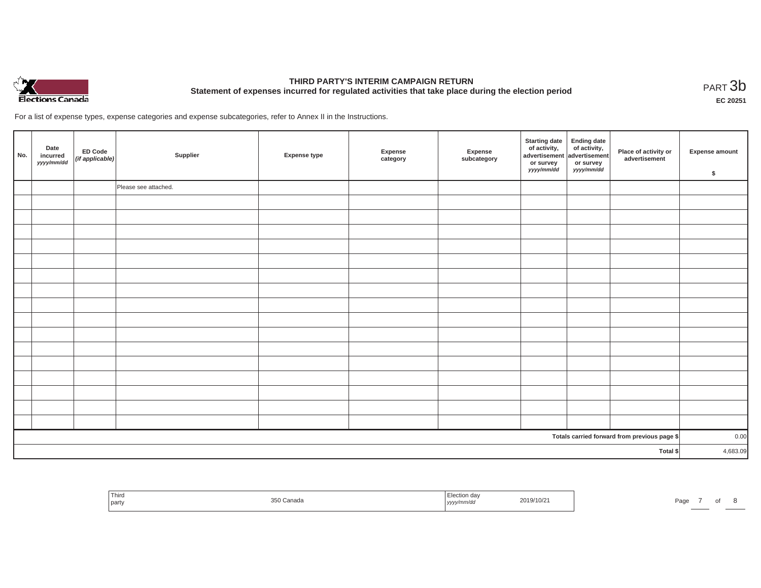

# **THIRD PARTY'S INTERIM CAMPAIGN RETURN Statement of expenses incurred for regulated activities that take place during the election period**<br>PART  $3b$

**EC 20251**

For a list of expense types, expense categories and expense subcategories, refer to Annex II in the Instructions.

| No. | Date<br>incurred<br>yyyy/mm/dd | ED Code<br>(if applicable) | Supplier             | <b>Expense type</b> | Expense<br>category | Expense<br>subcategory | Starting date Ending date<br>of activity, of activity,<br>advertisement advertisement<br>or survey<br>yyyy/mm/dd | or survey<br>yyyy/mm/dd | Place of activity or<br>advertisement        | Expense amount<br>\$ |
|-----|--------------------------------|----------------------------|----------------------|---------------------|---------------------|------------------------|------------------------------------------------------------------------------------------------------------------|-------------------------|----------------------------------------------|----------------------|
|     |                                |                            | Please see attached. |                     |                     |                        |                                                                                                                  |                         |                                              |                      |
|     |                                |                            |                      |                     |                     |                        |                                                                                                                  |                         |                                              |                      |
|     |                                |                            |                      |                     |                     |                        |                                                                                                                  |                         |                                              |                      |
|     |                                |                            |                      |                     |                     |                        |                                                                                                                  |                         |                                              |                      |
|     |                                |                            |                      |                     |                     |                        |                                                                                                                  |                         |                                              |                      |
|     |                                |                            |                      |                     |                     |                        |                                                                                                                  |                         |                                              |                      |
|     |                                |                            |                      |                     |                     |                        |                                                                                                                  |                         |                                              |                      |
|     |                                |                            |                      |                     |                     |                        |                                                                                                                  |                         |                                              |                      |
|     |                                |                            |                      |                     |                     |                        |                                                                                                                  |                         |                                              |                      |
|     |                                |                            |                      |                     |                     |                        |                                                                                                                  |                         |                                              |                      |
|     |                                |                            |                      |                     |                     |                        |                                                                                                                  |                         |                                              |                      |
|     |                                |                            |                      |                     |                     |                        |                                                                                                                  |                         |                                              |                      |
|     |                                |                            |                      |                     |                     |                        |                                                                                                                  |                         |                                              |                      |
|     |                                |                            |                      |                     |                     |                        |                                                                                                                  |                         |                                              |                      |
|     |                                |                            |                      |                     |                     |                        |                                                                                                                  |                         |                                              |                      |
|     |                                |                            |                      |                     |                     |                        |                                                                                                                  |                         |                                              |                      |
|     |                                |                            |                      |                     |                     |                        |                                                                                                                  |                         |                                              |                      |
|     |                                |                            |                      |                     |                     |                        |                                                                                                                  |                         | Totals carried forward from previous page \$ | 0.00                 |
|     |                                |                            |                      |                     |                     |                        |                                                                                                                  |                         | Total \$                                     | 4,683.09             |

| Third                   | Election day | Page |
|-------------------------|--------------|------|
| $\sim$ $\sim$ $\sim$    | 2019/10/21   |      |
| <sup>।</sup> Canada     |              |      |
| the control of the con- | yyyy/mm/dd   |      |
| party                   |              |      |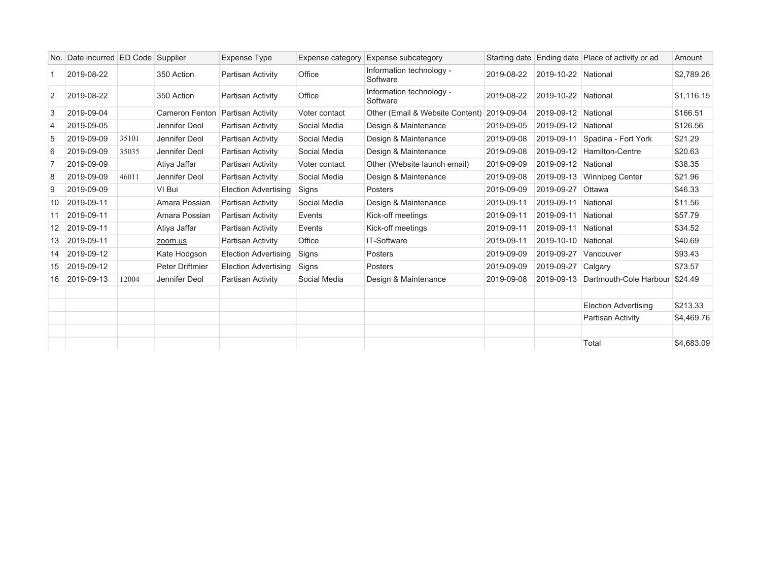|                | No. Date incurred ED Code Supplier |       |                       | <b>Expense Type</b>         | Expense category | <b>Expense subcategory</b>           |            |                     | Starting date Ending date Place of activity or ad | Amount     |
|----------------|------------------------------------|-------|-----------------------|-----------------------------|------------------|--------------------------------------|------------|---------------------|---------------------------------------------------|------------|
|                | 2019-08-22                         |       | 350 Action            | Partisan Activity           | Office           | Information technology -<br>Software | 2019-08-22 | 2019-10-22 National |                                                   | \$2,789.26 |
| 2              | 2019-08-22                         |       | 350 Action            | Partisan Activity           | Office           | Information technology -<br>Software | 2019-08-22 | 2019-10-22 National |                                                   | \$1,116.15 |
| 3              | 2019-09-04                         |       | <b>Cameron Fenton</b> | Partisan Activity           | Voter contact    | Other (Email & Website Content)      | 2019-09-04 | 2019-09-12 National |                                                   | \$166.51   |
| $\overline{4}$ | 2019-09-05                         |       | Jennifer Deol         | Partisan Activity           | Social Media     | Design & Maintenance                 | 2019-09-05 | 2019-09-12 National |                                                   | \$126.56   |
| 5              | 2019-09-09                         | 35101 | Jennifer Deol         | Partisan Activity           | Social Media     | Design & Maintenance                 | 2019-09-08 |                     | 2019-09-11 Spadina - Fort York                    | \$21.29    |
| 6              | 2019-09-09                         | 35035 | Jennifer Deol         | Partisan Activity           | Social Media     | Design & Maintenance                 | 2019-09-08 |                     | 2019-09-12 Hamilton-Centre                        | \$20.63    |
| 7              | 2019-09-09                         |       | Atiya Jaffar          | Partisan Activity           | Voter contact    | Other (Website launch email)         | 2019-09-09 | 2019-09-12 National |                                                   | \$38.35    |
| 8              | 2019-09-09                         | 46011 | Jennifer Deol         | Partisan Activity           | Social Media     | Design & Maintenance                 | 2019-09-08 | 2019-09-13          | <b>Winnipeg Center</b>                            | \$21.96    |
| 9              | 2019-09-09                         |       | VI Bui                | <b>Election Advertising</b> | Signs            | Posters                              | 2019-09-09 | 2019-09-27          | Ottawa                                            | \$46.33    |
| 10             | 2019-09-11                         |       | Amara Possian         | Partisan Activity           | Social Media     | Design & Maintenance                 | 2019-09-11 | 2019-09-11          | National                                          | \$11.56    |
| 11             | 2019-09-11                         |       | Amara Possian         | Partisan Activity           | Events           | Kick-off meetings                    | 2019-09-11 | 2019-09-11 National |                                                   | \$57.79    |
| 12             | 2019-09-11                         |       | Atiya Jaffar          | Partisan Activity           | Events           | Kick-off meetings                    | 2019-09-11 | 2019-09-11 National |                                                   | \$34.52    |
| 13             | 2019-09-11                         |       | zoom.us               | Partisan Activity           | Office           | IT-Software                          | 2019-09-11 | 2019-10-10 National |                                                   | \$40.69    |
| 14             | 2019-09-12                         |       | Kate Hodgson          | <b>Election Advertising</b> | Signs            | Posters                              | 2019-09-09 | 2019-09-27          | Vancouver                                         | \$93.43    |
| 15             | 2019-09-12                         |       | Peter Driftmier       | <b>Election Advertising</b> | Signs            | Posters                              | 2019-09-09 | 2019-09-27          | Calgary                                           | \$73.57    |
| 16             | 2019-09-13                         | 12004 | Jennifer Deol         | Partisan Activity           | Social Media     | Design & Maintenance                 | 2019-09-08 |                     | 2019-09-13 Dartmouth-Cole Harbour                 | \$24.49    |
|                |                                    |       |                       |                             |                  |                                      |            |                     |                                                   |            |
|                |                                    |       |                       |                             |                  |                                      |            |                     | <b>Election Advertising</b>                       | \$213.33   |
|                |                                    |       |                       |                             |                  |                                      |            |                     | Partisan Activity                                 | \$4,469.76 |
|                |                                    |       |                       |                             |                  |                                      |            |                     |                                                   |            |
|                |                                    |       |                       |                             |                  |                                      |            |                     | Total                                             | \$4,683.09 |